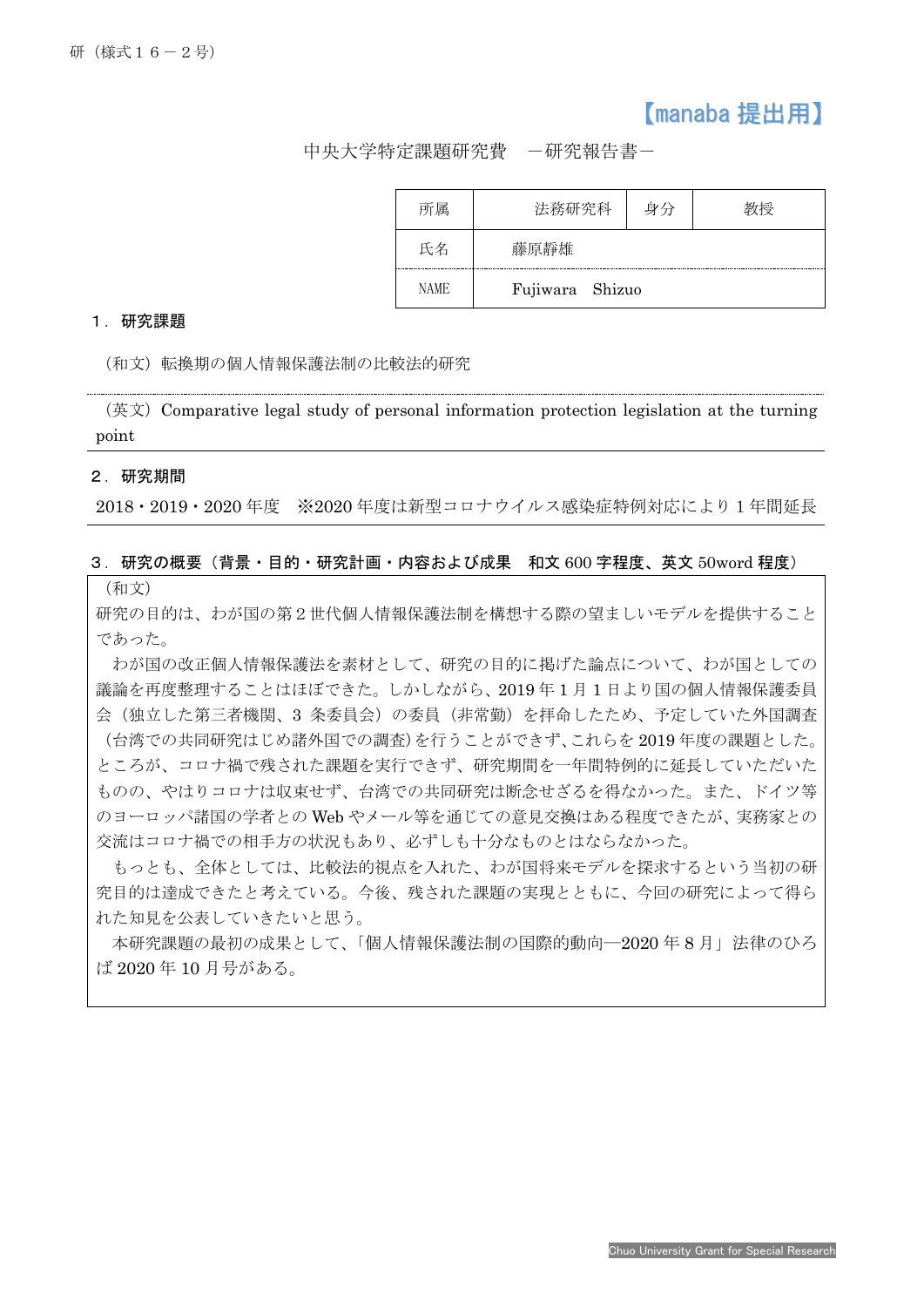# 【manaba 提出用】

中央大学特定課題研究費 -研究報告書-

| ャ属   | 法務研究科 | 身分              |  |
|------|-------|-----------------|--|
| 氏名   | 藤原靜雄  |                 |  |
| NAME |       | Fujiwara Shizuo |  |

#### 1.研究課題

(和文)転換期の個人情報保護法制の比較法的研究

(英文)Comparative legal study of personal information protection legislation at the turning point

#### 2.研究期間

Ī

2018・2019・2020 年度 ※2020 年度は新型コロナウイルス感染症特例対応により1年間延長

### 3.研究の概要(背景・目的・研究計画・内容および成果 和文 600 字程度、英文 50word 程度)

(和文)

研究の目的は、わが国の第2世代個人情報保護法制を構想する際の望ましいモデルを提供すること であった。

わが国の改正個人情報保護法を素材として、研究の目的に掲げた論点について、わが国としての 議論を再度整理することはほぼできた。しかしながら、2019 年 1 月 1 日より国の個人情報保護委員 会(独立した第三者機関、3 条委員会)の委員(非常勤)を拝命したため、予定していた外国調査 (台湾での共同研究はじめ諸外国での調査)を行うことができず、これらを 2019 年度の課題とした。 ところが、コロナ禍で残された課題を実行できず、研究期間を一年間特例的に延長していただいた ものの、やはりコロナは収束せず、台湾での共同研究は断念せざるを得なかった。また、ドイツ等 のヨーロッパ諸国の学者との Web やメール等を通じての意見交換はある程度できたが、実務家との 交流はコロナ禍での相手方の状況もあり、必ずしも十分なものとはならなかった。

もっとも、全体としては、比較法的視点を入れた、わが国将来モデルを探求するという当初の研 究目的は達成できたと考えている。今後、残された課題の実現とともに、今回の研究によって得ら れた知見を公表していきたいと思う。

本研究課題の最初の成果として、「個人情報保護法制の国際的動向―2020 年 8 月」法律のひろ ば 2020 年 10 月号がある。